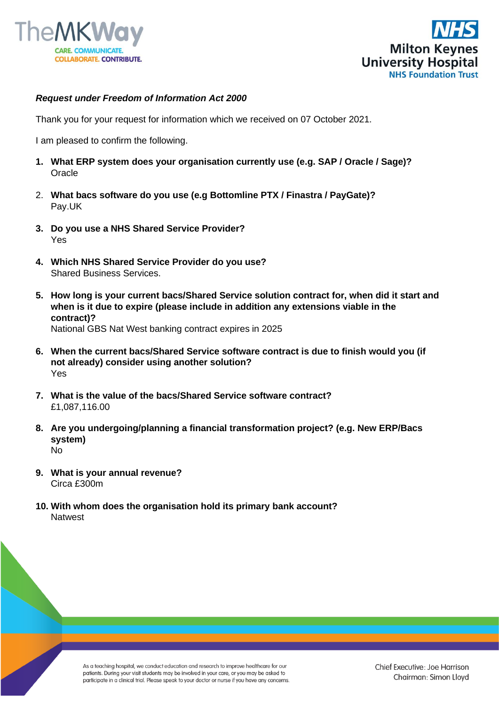



## *Request under Freedom of Information Act 2000*

Thank you for your request for information which we received on 07 October 2021.

I am pleased to confirm the following.

- **1. What ERP system does your organisation currently use (e.g. SAP / Oracle / Sage)?**  Oracle
- 2. **What bacs software do you use (e.g Bottomline PTX / Finastra / PayGate)?** Pay.UK
- **3. Do you use a NHS Shared Service Provider?**  Yes
- **4. Which NHS Shared Service Provider do you use?**  Shared Business Services.
- **5. How long is your current bacs/Shared Service solution contract for, when did it start and when is it due to expire (please include in addition any extensions viable in the contract)?** National GBS Nat West banking contract expires in 2025
- **6. When the current bacs/Shared Service software contract is due to finish would you (if not already) consider using another solution?**  Yes
- **7. What is the value of the bacs/Shared Service software contract?**  £1,087,116.00
- **8. Are you undergoing/planning a financial transformation project? (e.g. New ERP/Bacs system)**  No
- **9. What is your annual revenue?**  Circa £300m
- **10. With whom does the organisation hold its primary bank account?** Natwest

As a teaching hospital, we conduct education and research to improve healthcare for our patients. During your visit students may be involved in your care, or you may be asked to participate in a clinical trial. Please speak to your doctor or nurse if you have any concerns.